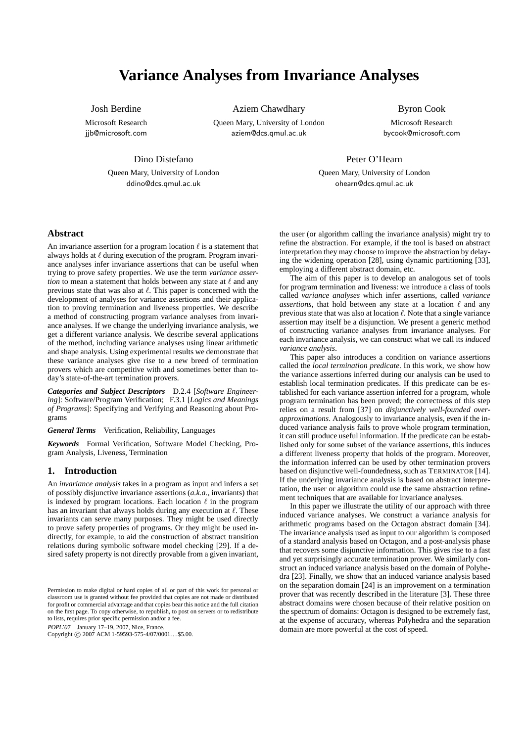# **Variance Analyses from Invariance Analyses**

Josh Berdine

Microsoft Research jjb@microsoft.com

Aziem Chawdhary

Queen Mary, University of London aziem@dcs.qmul.ac.uk

Byron Cook Microsoft Research bycook@microsoft.com

Dino Distefano

Queen Mary, University of London ddino@dcs.qmul.ac.uk

Peter O'Hearn Queen Mary, University of London

ohearn@dcs.qmul.ac.uk

## **Abstract**

An invariance assertion for a program location  $\ell$  is a statement that always holds at  $\ell$  during execution of the program. Program invariance analyses infer invariance assertions that can be useful when trying to prove safety properties. We use the term *variance assertion* to mean a statement that holds between any state at  $\ell$  and any previous state that was also at  $\ell$ . This paper is concerned with the development of analyses for variance assertions and their application to proving termination and liveness properties. We describe a method of constructing program variance analyses from invariance analyses. If we change the underlying invariance analysis, we get a different variance analysis. We describe several applications of the method, including variance analyses using linear arithmetic and shape analysis. Using experimental results we demonstrate that these variance analyses give rise to a new breed of termination provers which are competitive with and sometimes better than today's state-of-the-art termination provers.

*Categories and Subject Descriptors* D.2.4 [*Software Engineering*]: Software/Program Verification; F.3.1 [*Logics and Meanings of Programs*]: Specifying and Verifying and Reasoning about Programs

*General Terms* Verification, Reliability, Languages

*Keywords* Formal Verification, Software Model Checking, Program Analysis, Liveness, Termination

## **1. Introduction**

An *invariance analysis* takes in a program as input and infers a set of possibly disjunctive invariance assertions (*a.k.a.,* invariants) that is indexed by program locations. Each location  $\ell$  in the program has an invariant that always holds during any execution at  $\ell$ . These invariants can serve many purposes. They might be used directly to prove safety properties of programs. Or they might be used indirectly, for example, to aid the construction of abstract transition relations during symbolic software model checking [29]. If a desired safety property is not directly provable from a given invariant,

POPL'07 January 17–19, 2007, Nice, France.

Copyright © 2007 ACM 1-59593-575-4/07/0001... \$5.00.

the user (or algorithm calling the invariance analysis) might try to refine the abstraction. For example, if the tool is based on abstract interpretation they may choose to improve the abstraction by delaying the widening operation [28], using dynamic partitioning [33], employing a different abstract domain, etc.

The aim of this paper is to develop an analogous set of tools for program termination and liveness: we introduce a class of tools called *variance analyses* which infer assertions, called *variance assertions*, that hold between any state at a location  $\ell$  and any previous state that was also at location  $\ell$ . Note that a single variance assertion may itself be a disjunction. We present a generic method of constructing variance analyses from invariance analyses. For each invariance analysis, we can construct what we call its *induced variance analysis*.

This paper also introduces a condition on variance assertions called the *local termination predicate*. In this work, we show how the variance assertions inferred during our analysis can be used to establish local termination predicates. If this predicate can be established for each variance assertion inferred for a program, whole program termination has been proved; the correctness of this step relies on a result from [37] on *disjunctively well-founded overapproximations*. Analogously to invariance analysis, even if the induced variance analysis fails to prove whole program termination, it can still produce useful information. If the predicate can be established only for some subset of the variance assertions, this induces a different liveness property that holds of the program. Moreover, the information inferred can be used by other termination provers based on disjunctive well-foundedness, such as TERMINATOR [14]. If the underlying invariance analysis is based on abstract interpretation, the user or algorithm could use the same abstraction refinement techniques that are available for invariance analyses.

In this paper we illustrate the utility of our approach with three induced variance analyses. We construct a variance analysis for arithmetic programs based on the Octagon abstract domain [34]. The invariance analysis used as input to our algorithm is composed of a standard analysis based on Octagon, and a post-analysis phase that recovers some disjunctive information. This gives rise to a fast and yet surprisingly accurate termination prover. We similarly construct an induced variance analysis based on the domain of Polyhedra [23]. Finally, we show that an induced variance analysis based on the separation domain [24] is an improvement on a termination prover that was recently described in the literature [3]. These three abstract domains were chosen because of their relative position on the spectrum of domains: Octagon is designed to be extremely fast, at the expense of accuracy, whereas Polyhedra and the separation domain are more powerful at the cost of speed.

Permission to make digital or hard copies of all or part of this work for personal or classroom use is granted without fee provided that copies are not made or distributed for profit or commercial advantage and that copies bear this notice and the full citation on the first page. To copy otherwise, to republish, to post on servers or to redistribute to lists, requires prior specific permission and/or a fee.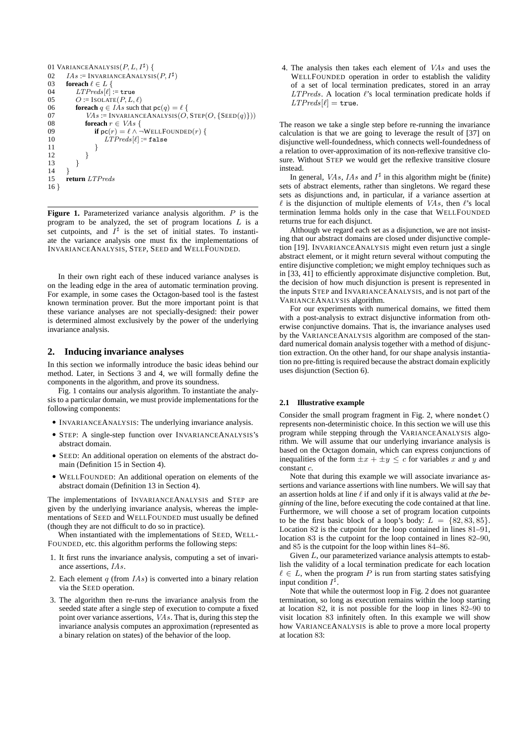```
01 VARIANCEANALYSIS(P, L, I^{\sharp}) {
02 IAs := \text{INVARIANCEANALYSIS}(P, I^{\sharp})03 foreach \ell \in L {<br>04 LTPreds [\ell] :
04 LTPreds[\ell] := \text{true}<br>05 Q = \text{ISOLATE}(P, L)O := IsOLATE(P, L, \ell)06 foreach q \in I As such that \mathsf{pc}(q) = \ell {
07 VAs := \text{INVARIANCEANALYSIS}(O, \text{STEP}(O, \{\text{SEED}(q)\}))<br>08 foreach r \in VAs \{08 foreach r \in VAs \{<br>09 if nc(r) = \ell \wedge \ell09 if pc(r) = \ell \wedge \neg \text{WELLFOUNDED}(r) {<br>10 LTPreds[\ell] = false
10 LTPreds[\ell] := \mathtt{false}<br>11 }
11 }
12 }
13 }
\frac{14}{15}15 return LTPreds
16
```
Figure 1. Parameterized variance analysis algorithm. P is the program to be analyzed, the set of program locations  $L$  is a set cutpoints, and  $I^{\sharp}$  is the set of initial states. To instantiate the variance analysis one must fix the implementations of INVARIANCEANALYSIS, STEP, SEED and WELLFOUNDED.

In their own right each of these induced variance analyses is on the leading edge in the area of automatic termination proving. For example, in some cases the Octagon-based tool is the fastest known termination prover. But the more important point is that these variance analyses are not specially-designed: their power is determined almost exclusively by the power of the underlying invariance analysis.

## **2. Inducing invariance analyses**

In this section we informally introduce the basic ideas behind our method. Later, in Sections 3 and 4, we will formally define the components in the algorithm, and prove its soundness.

Fig. 1 contains our analysis algorithm. To instantiate the analysis to a particular domain, we must provide implementations for the following components:

- INVARIANCEANALYSIS: The underlying invariance analysis.
- STEP: A single-step function over INVARIANCEANALYSIS's abstract domain.
- SEED: An additional operation on elements of the abstract domain (Definition 15 in Section 4).
- WELLFOUNDED: An additional operation on elements of the abstract domain (Definition 13 in Section 4).

The implementations of INVARIANCEANALYSIS and STEP are given by the underlying invariance analysis, whereas the implementations of SEED and WELLFOUNDED must usually be defined (though they are not difficult to do so in practice).

When instantiated with the implementations of SEED, WELL-FOUNDED, etc. this algorithm performs the following steps:

- 1. It first runs the invariance analysis, computing a set of invariance assertions, IAs.
- 2. Each element  $q$  (from  $IAs$ ) is converted into a binary relation via the SEED operation.
- 3. The algorithm then re-runs the invariance analysis from the seeded state after a single step of execution to compute a fixed point over variance assertions, *VAs*. That is, during this step the invariance analysis computes an approximation (represented as a binary relation on states) of the behavior of the loop.

4. The analysis then takes each element of VAs and uses the WELLFOUNDED operation in order to establish the validity of a set of local termination predicates, stored in an array  $LTPreds$ . A location  $\ell$ 's local termination predicate holds if  $LTPreds[\ell] = \texttt{true}.$ 

The reason we take a single step before re-running the invariance calculation is that we are going to leverage the result of [37] on disjunctive well-foundedness, which connects well-foundedness of a relation to over-approximation of its non-reflexive transitive closure. Without STEP we would get the reflexive transitive closure instead.

In general, *VAs*, *IAs* and  $I^{\sharp}$  in this algorithm might be (finite) sets of abstract elements, rather than singletons. We regard these sets as disjunctions and, in particular, if a variance assertion at  $\ell$  is the disjunction of multiple elements of VAs, then  $\ell$ 's local termination lemma holds only in the case that WELLFOUNDED returns true for each disjunct.

Although we regard each set as a disjunction, we are not insisting that our abstract domains are closed under disjunctive completion [19]. INVARIANCEANALYSIS might even return just a single abstract element, or it might return several without computing the entire disjunctive completion; we might employ techniques such as in [33, 41] to efficiently approximate disjunctive completion. But, the decision of how much disjunction is present is represented in the inputs STEP and INVARIANCEANALYSIS, and is not part of the VARIANCEANALYSIS algorithm.

For our experiments with numerical domains, we fitted them with a post-analysis to extract disjunctive information from otherwise conjunctive domains. That is, the invariance analyses used by the VARIANCEANALYSIS algorithm are composed of the standard numerical domain analysis together with a method of disjunction extraction. On the other hand, for our shape analysis instantiation no pre-fitting is required because the abstract domain explicitly uses disjunction (Section 6).

#### **2.1 Illustrative example**

Consider the small program fragment in Fig. 2, where nondet() represents non-deterministic choice. In this section we will use this program while stepping through the VARIANCEANALYSIS algorithm. We will assume that our underlying invariance analysis is based on the Octagon domain, which can express conjunctions of inequalities of the form  $\pm x + \pm y \leq c$  for variables x and y and constant c.

Note that during this example we will associate invariance assertions and variance assertions with line numbers. We will say that an assertion holds at line  $\ell$  if and only if it is always valid at *the beginning* of the line, before executing the code contained at that line. Furthermore, we will choose a set of program location cutpoints to be the first basic block of a loop's body:  $L = \{82, 83, 85\}.$ Location 82 is the cutpoint for the loop contained in lines 81–91, location 83 is the cutpoint for the loop contained in lines 82–90, and 85 is the cutpoint for the loop within lines 84–86.

Given  $L$ , our parameterized variance analysis attempts to establish the validity of a local termination predicate for each location  $\ell \in L$ , when the program P is run from starting states satisfying input condition  $I^{\sharp}$ .

Note that while the outermost loop in Fig. 2 does not guarantee termination, so long as execution remains within the loop starting at location 82, it is not possible for the loop in lines 82–90 to visit location 83 infinitely often. In this example we will show how VARIANCEANALYSIS is able to prove a more local property at location 83: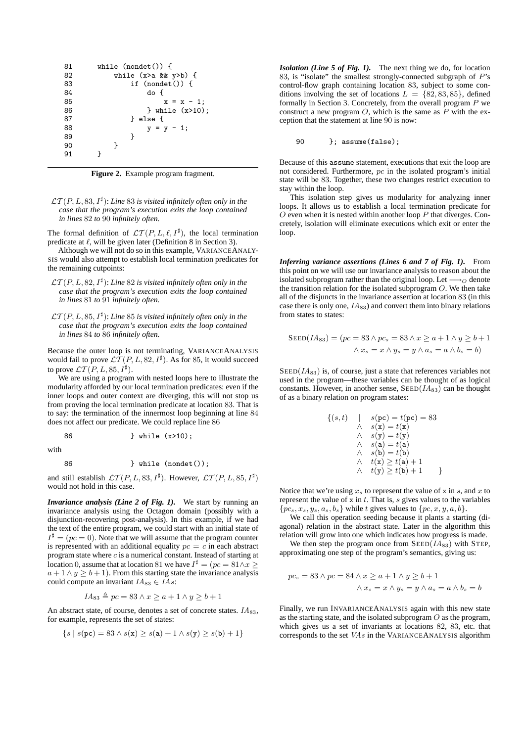

**Figure 2.** Example program fragment.

 $\mathcal{LT}(P,L,83,I^{\sharp})$ : Line 83 is visited infinitely often only in the *case that the program's execution exits the loop contained in lines* 82 *to* 90 *infinitely often.*

The formal definition of  $\mathcal{LT}(P, L, \ell, I^{\sharp})$ , the local termination predicate at  $\ell$ , will be given later (Definition 8 in Section 3).

Although we will not do so in this example, VARIANCEANALY-SIS would also attempt to establish local termination predicates for the remaining cutpoints:

- $\mathcal{LT}(P,L,82,I^{\sharp})$ : Line 82 is visited infinitely often only in the *case that the program's execution exits the loop contained in lines* 81 *to* 91 *infinitely often.*
- $\mathcal{LT}(P,L,85,I^{\sharp})$ : Line 85 is visited infinitely often only in the *case that the program's execution exits the loop contained in lines* 84 *to* 86 *infinitely often.*

Because the outer loop is not terminating, VARIANCEANALYSIS would fail to prove  $\mathcal{LT}(P, L, 82, I^{\sharp})$ . As for 85, it would succeed to prove  $\mathcal{LT}(P, L, 85, I^{\sharp}).$ 

We are using a program with nested loops here to illustrate the modularity afforded by our local termination predicates: even if the inner loops and outer context are diverging, this will not stop us from proving the local termination predicate at location 83. That is to say: the termination of the innermost loop beginning at line 84 does not affect our predicate. We could replace line 86

86 } while (x>10);

with

86 } while (nondet());

and still establish  $\mathcal{LT}(P, L, 83, I^{\sharp})$ . However,  $\mathcal{LT}(P, L, 85, I^{\sharp})$ would not hold in this case.

*Invariance analysis (Line 2 of Fig. 1).* We start by running an invariance analysis using the Octagon domain (possibly with a disjunction-recovering post-analysis). In this example, if we had the text of the entire program, we could start with an initial state of  $I^{\sharp} = (pc = 0)$ . Note that we will assume that the program counter is represented with an additional equality  $pc = c$  in each abstract program state where  $c$  is a numerical constant. Instead of starting at location 0, assume that at location 81 we have  $I^{\sharp} = (pc = 81 \land x \ge 0)$  $a + 1 \wedge y \ge b + 1$ . From this starting state the invariance analysis could compute an invariant  $IA_{83} \in IAs$ :

$$
IA_{83} \triangleq pc = 83 \land x \geq a + 1 \land y \geq b + 1
$$

An abstract state, of course, denotes a set of concrete states.  $IA_{83}$ , for example, represents the set of states:

$$
\{s \mid s(\mathtt{pc}) = 83 \land s(\mathtt{x}) \ge s(\mathtt{a}) + 1 \land s(\mathtt{y}) \ge s(\mathtt{b}) + 1\}
$$

*Isolation (Line 5 of Fig. 1).* The next thing we do, for location 83, is "isolate" the smallest strongly-connected subgraph of P's control-flow graph containing location 83, subject to some conditions involving the set of locations  $L = \{82, 83, 85\}$ , defined formally in Section 3. Concretely, from the overall program  $P$  we construct a new program  $O$ , which is the same as  $\hat{P}$  with the exception that the statement at line 90 is now:

90 }; assume(false);

Because of this assume statement, executions that exit the loop are not considered. Furthermore, pc in the isolated program's initial state will be 83. Together, these two changes restrict execution to stay within the loop.

This isolation step gives us modularity for analyzing inner loops. It allows us to establish a local termination predicate for  $O$  even when it is nested within another loop  $P$  that diverges. Concretely, isolation will eliminate executions which exit or enter the loop.

*Inferring variance assertions (Lines 6 and 7 of Fig. 1).* From this point on we will use our invariance analysis to reason about the isolated subprogram rather than the original loop. Let  $\rightarrow$   $\alpha$  denote the transition relation for the isolated subprogram  $O$ . We then take all of the disjuncts in the invariance assertion at location 83 (in this case there is only one,  $IA_{83}$ ) and convert them into binary relations from states to states:

$$
SEED(IA_{83}) = (pc = 83 \land pc_s = 83 \land x \ge a + 1 \land y \ge b + 1
$$

$$
\land x_s = x \land y_s = y \land a_s = a \land b_s = b)
$$

 $\text{SEED}(I\text{A}_{83})$  is, of course, just a state that references variables not used in the program—these variables can be thought of as logical constants. However, in another sense,  $\text{SEED}(IA_{83})$  can be thought of as a binary relation on program states:

$$
\begin{array}{ll}\n\{(s,t) & \mid & s(\mathbf{pc}) = t(\mathbf{pc}) = 83 \\
\land & s(\mathbf{x}) = t(\mathbf{x}) \\
\land & s(\mathbf{y}) = t(\mathbf{y}) \\
\land & s(\mathbf{a}) = t(\mathbf{a}) \\
\land & s(\mathbf{b}) = t(\mathbf{b}) \\
\land & t(\mathbf{x}) \ge t(\mathbf{a}) + 1 \\
\land & t(\mathbf{y}) \ge t(\mathbf{b}) + 1\n\end{array}
$$

Notice that we're using  $x_s$  to represent the value of x in s, and x to represent the value of x in t. That is, s gives values to the variables  $\{pc_s, x_s, y_s, a_s, b_s\}$  while t gives values to  $\{pc, x, y, a, b\}$ .

We call this operation seeding because it plants a starting (diagonal) relation in the abstract state. Later in the algorithm this relation will grow into one which indicates how progress is made.

We then step the program once from  $\text{SEED}(I\text{A}_{83})$  with STEP, approximating one step of the program's semantics, giving us:

$$
pc_s = 83 \land pc = 84 \land x \ge a + 1 \land y \ge b + 1
$$
  

$$
\land x_s = x \land y_s = y \land a_s = a \land b_s = b
$$

Finally, we run INVARIANCEANALYSIS again with this new state as the starting state, and the isolated subprogram  $O$  as the program, which gives us a set of invariants at locations 82, 83, etc. that corresponds to the set VAs in the VARIANCEANALYSIS algorithm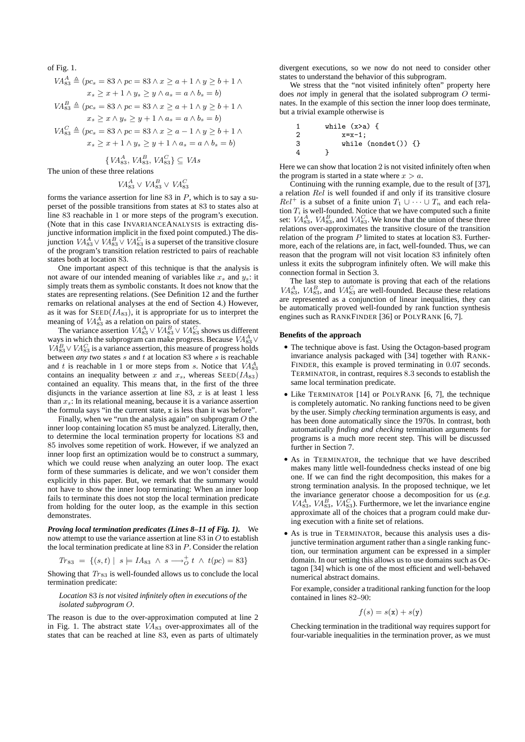of Fig. 1.

$$
VA_{83}^A \triangleq (pc_s = 83 \land pc = 83 \land x \ge a + 1 \land y \ge b + 1 \land x_s \ge x + 1 \land y_s \ge y \land a_s = a \land b_s = b)
$$

$$
VA_{83}^{B} \triangleq (pc_s = 83 \land pc = 83 \land x \ge a + 1 \land y \ge b + 1 \land x_s \ge x \land y_s \ge y + 1 \land a_s = a \land b_s = b)
$$

$$
VA_{83}^C \triangleq (pc_s = 83 \land pc = 83 \land x \ge a - 1 \land y \ge b + 1 \land x_s \ge x + 1 \land y_s \ge y + 1 \land a_s = a \land b_s = b)
$$

 $\{VA_{83}^A, VA_{83}^B, VA_{83}^C\} \subseteq VAs$ 

The union of these three relations

$$
VA_{83}^A \lor VA_{83}^B \lor VA_{83}^C
$$

forms the variance assertion for line  $83$  in  $P$ , which is to say a superset of the possible transitions from states at 83 to states also at line 83 reachable in 1 or more steps of the program's execution. (Note that in this case INVARIANCEANALYSIS is extracting disjunctive information implicit in the fixed point computed.) The disjunction  $VA_{83}^A \vee VA_{83}^B \vee VA_{83}^C$  is a superset of the transitive closure of the program's transition relation restricted to pairs of reachable states both at location 83.

One important aspect of this technique is that the analysis is not aware of our intended meaning of variables like  $x_s$  and  $y_s$ : it simply treats them as symbolic constants. It does not know that the states are representing relations. (See Definition 12 and the further remarks on relational analyses at the end of Section 4.) However, as it was for  $\text{SED}(I\text{A}_{83})$ , it is appropriate for us to interpret the meaning of  $VA_{83}^A$  as a relation on pairs of states.

The variance assertion  $VA_{83}^A \vee VA_{83}^B \vee VA_{83}^C$  shows us different ways in which the subprogram can make progress. Because  $VA_{83}^A \vee$  $VA_{83}^B \vee VA_{83}^C$  is a variance assertion, this measure of progress holds between *any two* states s and t at location 83 where s is reachable and t is reachable in 1 or more steps from s. Notice that  $VA_{83}^A$ contains an inequality between x and  $x_s$ , whereas  $\text{SEED}(I\text{A}_{83})$ contained an equality. This means that, in the first of the three disjuncts in the variance assertion at line 83,  $x$  is at least 1 less than  $x_s$ : In its relational meaning, because it is a variance assertion the formula says "in the current state, x is less than it was before".

Finally, when we "run the analysis again" on subprogram O the inner loop containing location 85 must be analyzed. Literally, then, to determine the local termination property for locations 83 and 85 involves some repetition of work. However, if we analyzed an inner loop first an optimization would be to construct a summary, which we could reuse when analyzing an outer loop. The exact form of these summaries is delicate, and we won't consider them explicitly in this paper. But, we remark that the summary would not have to show the inner loop terminating: When an inner loop fails to terminate this does not stop the local termination predicate from holding for the outer loop, as the example in this section demonstrates.

*Proving local termination predicates (Lines 8–11 of Fig. 1).* We now attempt to use the variance assertion at line  $83$  in  $O$  to establish the local termination predicate at line 83 in P. Consider the relation

$$
Tr_{83} = \{ (s,t) | s \models IA_{83} \land s \longrightarrow_{O}^{+} t \land t (pc) = 83 \}
$$

Showing that  $Tr_{83}$  is well-founded allows us to conclude the local termination predicate:

#### *Location* 83 *is not visited infinitely often in executions of the isolated subprogram* O*.*

The reason is due to the over-approximation computed at line 2 in Fig. 1. The abstract state  $VA_{83}$  over-approximates all of the states that can be reached at line 83, even as parts of ultimately

divergent executions, so we now do not need to consider other states to understand the behavior of this subprogram.

We stress that the "not visited infinitely often" property here does *not* imply in general that the isolated subprogram O terminates. In the example of this section the inner loop does terminate, but a trivial example otherwise is

1 while (x>a) { 2 x=x-1; 3 while (nondet()) {} 4 }

Here we can show that location 2 is not visited infinitely often when the program is started in a state where  $x > a$ .

Continuing with the running example, due to the result of [37], a relation Rel is well founded if and only if its transitive closure  $Rel^+$  is a subset of a finite union  $T_1 \cup \cdots \cup T_n$  and each relation  $T_i$  is well-founded. Notice that we have computed such a finite set:  $VA_{83}^A$ ,  $VA_{83}^B$ , and  $VA_{83}^C$ . We know that the union of these three relations over-approximates the transitive closure of the transition relation of the program  $P$  limited to states at location 83. Furthermore, each of the relations are, in fact, well-founded. Thus, we can reason that the program will not visit location 83 infinitely often unless it exits the subprogram infinitely often. We will make this connection formal in Section 3.

The last step to automate is proving that each of the relations  $VA_{83}^A$ ,  $VA_{83}^B$ , and  $VA_{83}^C$  are well-founded. Because these relations are represented as a conjunction of linear inequalities, they can be automatically proved well-founded by rank function synthesis engines such as RANKFINDER [36] or POLYRANK [6, 7].

#### **Benefits of the approach**

- The technique above is fast. Using the Octagon-based program invariance analysis packaged with [34] together with RANK-FINDER, this example is proved terminating in  $0.07$  seconds. TERMINATOR, in contrast, requires 8.3 seconds to establish the same local termination predicate.
- Like TERMINATOR [14] or POLYRANK [6, 7], the technique is completely automatic. No ranking functions need to be given by the user. Simply *checking* termination arguments is easy, and has been done automatically since the 1970s. In contrast, both automatically *finding and checking* termination arguments for programs is a much more recent step. This will be discussed further in Section 7.
- As in TERMINATOR, the technique that we have described makes many little well-foundedness checks instead of one big one. If we can find the right decomposition, this makes for a strong termination analysis. In the proposed technique, we let the invariance generator choose a decomposition for us (*e.g.*  $VA_{83}^A$ ,  $VA_{83}^B$ ,  $VA_{83}^C$ ). Furthermore, we let the invariance engine approximate all of the choices that a program could make during execution with a finite set of relations.
- As is true in TERMINATOR, because this analysis uses a disjunctive termination argument rather than a single ranking function, our termination argument can be expressed in a simpler domain. In our setting this allows us to use domains such as Octagon [34] which is one of the most efficient and well-behaved numerical abstract domains.

For example, consider a traditional ranking function for the loop contained in lines 82–90:

$$
f(s) = s(\mathbf{x}) + s(\mathbf{y})
$$

Checking termination in the traditional way requires support for four-variable inequalities in the termination prover, as we must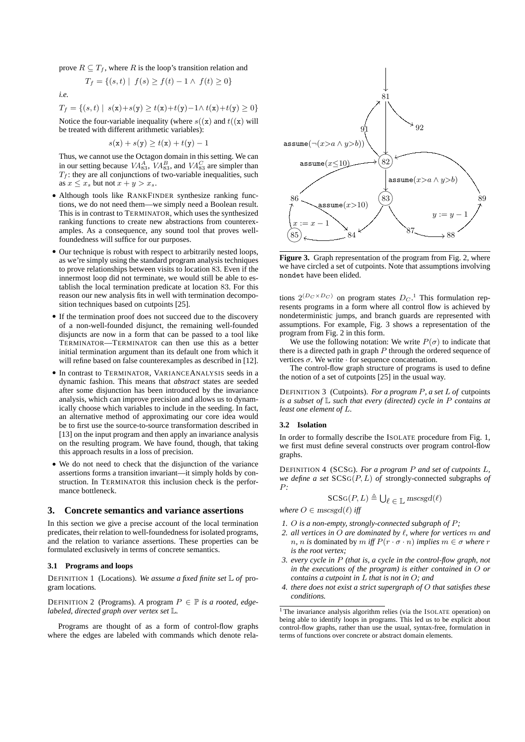prove  $R \subseteq T_f$ , where R is the loop's transition relation and

$$
T_f = \{(s, t) \mid f(s) \ge f(t) - 1 \land f(t) \ge 0\}
$$

*i.e.*

$$
T_f = \{(s, t) \mid s(\mathbf{x}) + s(\mathbf{y}) \ge t(\mathbf{x}) + t(\mathbf{y}) - 1 \land t(\mathbf{x}) + t(\mathbf{y}) \ge 0\}
$$

Notice the four-variable inequality (where  $s((x)$  and  $t((x)$  will be treated with different arithmetic variables):

$$
s(\mathbf{x}) + s(\mathbf{y}) \ge t(\mathbf{x}) + t(\mathbf{y}) - 1
$$

Thus, we cannot use the Octagon domain in this setting. We can in our setting because  $VA_{83}^A$ ,  $VA_{83}^B$ , and  $VA_{83}^C$  are simpler than  $T_f$ : they are all conjunctions of two-variable inequalities, such as  $x \leq x_s$  but not  $x + y > x_s$ .

- Although tools like RANKFINDER synthesize ranking functions, we do not need them—we simply need a Boolean result. This is in contrast to TERMINATOR, which uses the synthesized ranking functions to create new abstractions from counterexamples. As a consequence, any sound tool that proves wellfoundedness will suffice for our purposes.
- Our technique is robust with respect to arbitrarily nested loops, as we're simply using the standard program analysis techniques to prove relationships between visits to location 83. Even if the innermost loop did not terminate, we would still be able to establish the local termination predicate at location 83. For this reason our new analysis fits in well with termination decomposition techniques based on cutpoints [25].
- If the termination proof does not succeed due to the discovery of a non-well-founded disjunct, the remaining well-founded disjuncts are now in a form that can be passed to a tool like TERMINATOR—TERMINATOR can then use this as a better initial termination argument than its default one from which it will refine based on false counterexamples as described in [12].
- In contrast to TERMINATOR, VARIANCEANALYSIS seeds in a dynamic fashion. This means that *abstract* states are seeded after some disjunction has been introduced by the invariance analysis, which can improve precision and allows us to dynamically choose which variables to include in the seeding. In fact, an alternative method of approximating our core idea would be to first use the source-to-source transformation described in [13] on the input program and then apply an invariance analysis on the resulting program. We have found, though, that taking this approach results in a loss of precision.
- We do not need to check that the disjunction of the variance assertions forms a transition invariant—it simply holds by construction. In TERMINATOR this inclusion check is the performance bottleneck.

### **3. Concrete semantics and variance assertions**

In this section we give a precise account of the local termination predicates, their relation to well-foundedness for isolated programs, and the relation to variance assertions. These properties can be formulated exclusively in terms of concrete semantics.

### **3.1 Programs and loops**

DEFINITION 1 (Locations). *We assume a fixed finite set* L *of* program locations*.*

DEFINITION 2 (Programs). *A* program  $P \in \mathbb{P}$  *is a rooted, edgelabeled, directed graph over vertex set* L*.*

Programs are thought of as a form of control-flow graphs where the edges are labeled with commands which denote rela-



**Figure 3.** Graph representation of the program from Fig. 2, where we have circled a set of cutpoints. Note that assumptions involving nondet have been elided.

tions  $2^{(D_C \times D_C)}$  on program states  $D_C$ <sup>1</sup>. This formulation represents programs in a form where all control flow is achieved by nondeterministic jumps, and branch guards are represented with assumptions. For example, Fig. 3 shows a representation of the program from Fig. 2 in this form.

We use the following notation: We write  $P(\sigma)$  to indicate that there is a directed path in graph  $P$  through the ordered sequence of vertices  $\sigma$ . We write  $\cdot$  for sequence concatenation.

The control-flow graph structure of programs is used to define the notion of a set of cutpoints [25] in the usual way.

DEFINITION 3 (Cutpoints). *For a program* P*, a set* L *of* cutpoints *is a subset of* L *such that every (directed) cycle in* P *contains at least one element of* L*.*

#### **3.2 Isolation**

In order to formally describe the ISOLATE procedure from Fig. 1, we first must define several constructs over program control-flow graphs.

DEFINITION 4 (SCSG). *For a program* P *and set of cutpoints* L*, we define a set* SCSG(P, L) *of* strongly-connected subgraphs *of* P*:*

$$
\mathsf{SCSG}(P, L) \triangleq \bigcup_{\ell \in \mathbb{L}} \mathsf{mscsgd}(\ell)
$$

*where*  $O \in \text{mscsgd}(\ell)$  *iff* 

- *1.* O *is a non-empty, strongly-connected subgraph of* P*;*
- *2. all vertices in* O *are dominated by* `*, where for vertices* m *and n, n is* dominated by *m iff*  $P(r \cdot \sigma \cdot n)$  *implies*  $m \in \sigma$  *where r is the root vertex;*
- *3. every cycle in* P *(that is, a cycle in the control-flow graph, not in the executions of the program) is either contained in* O *or contains a cutpoint in* L *that is not in* O*; and*
- *4. there does not exist a strict supergraph of* O *that satisfies these conditions.*

<sup>&</sup>lt;sup>1</sup> The invariance analysis algorithm relies (via the ISOLATE operation) on being able to identify loops in programs. This led us to be explicit about control-flow graphs, rather than use the usual, syntax-free, formulation in terms of functions over concrete or abstract domain elements.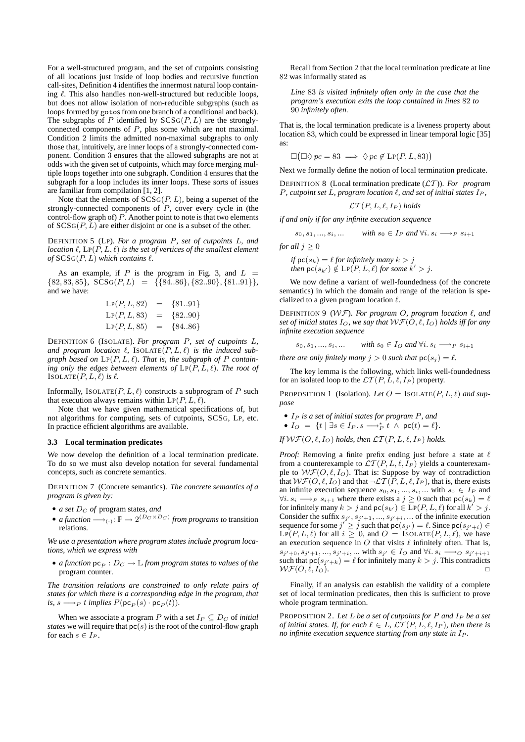For a well-structured program, and the set of cutpoints consisting of all locations just inside of loop bodies and recursive function call-sites, Definition 4 identifies the innermost natural loop containing  $\ell$ . This also handles non-well-structured but reducible loops, but does not allow isolation of non-reducible subgraphs (such as loops formed by gotos from one branch of a conditional and back). The subgraphs of  $P$  identified by  $SCSG(P, L)$  are the stronglyconnected components of P, plus some which are not maximal. Condition 2 limits the admitted non-maximal subgraphs to only those that, intuitively, are inner loops of a strongly-connected component. Condition 3 ensures that the allowed subgraphs are not at odds with the given set of cutpoints, which may force merging multiple loops together into one subgraph. Condition 4 ensures that the subgraph for a loop includes its inner loops. These sorts of issues are familiar from compilation [1, 2].

Note that the elements of  $SCSG(P, L)$ , being a superset of the strongly-connected components of  $\overrightarrow{P}$ , cover every cycle in (the control-flow graph of)  $P$ . Another point to note is that two elements of  $SCSG(P, L)$  are either disjoint or one is a subset of the other.

DEFINITION 5 (LP). *For a program* P*, set of cutpoints* L*, and location*  $\ell$ ,  $\text{LP}(P, L, \ell)$  *is the set of vertices of the smallest element of*  $SCSG(P, L)$  *which contains*  $\ell$ *.* 

As an example, if P is the program in Fig. 3, and  $L =$  $\{82, 83, 85\}, \; \text{SCSG}(P, L) = \{ \{84..86\}, \{82..90\}, \{81..91\} \},$ and we have:

$$
LP(P, L, 82) = \{81..91\}
$$
  
\n
$$
LP(P, L, 83) = \{82..90\}
$$
  
\n
$$
LP(P, L, 85) = \{84..86\}
$$

DEFINITION 6 (ISOLATE). *For program* P*, set of cutpoints* L*,* and program location  $\ell$ , ISOLATE( $P, L, \ell$ ) is the induced subgraph based on  $LP(P, L, \ell)$ . That is, the subgraph of P contain*ing only the edges between elements of*  $LP(P, L, \ell)$ *. The root of* ISOLATE $(P, L, \ell)$  *is*  $\ell$ *.* 

Informally, ISOLATE $(P, L, \ell)$  constructs a subprogram of P such that execution always remains within  $LP(P, L, \ell)$ .

Note that we have given mathematical specifications of, but not algorithms for computing, sets of cutpoints, SCSG, LP, etc. In practice efficient algorithms are available.

## **3.3 Local termination predicates**

We now develop the definition of a local termination predicate. To do so we must also develop notation for several fundamental concepts, such as concrete semantics.

DEFINITION 7 (Concrete semantics). *The concrete semantics of a program is given by:*

- *a set*  $D_C$  *of* program states, and
- *a function*  $\longrightarrow$ <sub>(.)</sub>:  $\mathbb{P} \rightarrow 2^{(D_C \times D_C)}$  *from programs to transition* relations*.*

*We use a presentation where program states include program locations, which we express with*

• *a function*  $pc_P : D_C \to \mathbb{L}$  *from program states to values of the* program counter*.*

*The transition relations are constrained to only relate pairs of states for which there is a corresponding edge in the program, that*  $is, s \longrightarrow_P t$  *implies*  $P(\mathsf{pc}_P(s) \cdot \mathsf{pc}_P(t))$ *.* 

When we associate a program P with a set  $I_P \subseteq D_C$  of *initial states* we will require that  $pc(s)$  is the root of the control-flow graph for each  $s \in I_P$ .

Recall from Section 2 that the local termination predicate at line 82 was informally stated as

*Line* 83 *is visited infinitely often only in the case that the program's execution exits the loop contained in lines* 82 *to* 90 *infinitely often.*

That is, the local termination predicate is a liveness property about location 83, which could be expressed in linear temporal logic [35] as:

$$
\Box(\Box \Diamond pc = 83 \implies \Diamond pc \not\in LP(P, L, 83))
$$

Next we formally define the notion of local termination predicate.

DEFINITION 8 (Local termination predicate (LT )). *For program P*, cutpoint set L, program location  $\ell$ , and set of initial states  $I_P$ ,

$$
\mathcal{LT}(P, L, \ell, I_P)
$$
 holds

*if and only if for any infinite execution sequence*

$$
s_0, s_1, ..., s_i, ...
$$
 with  $s_0 \in I_P$  and  $\forall i. s_i \longrightarrow_P s_{i+1}$ 

*for all*  $j \geq 0$ 

*if*  $\text{pc}(s_k) = \ell$  *for infinitely many*  $k > j$ *then*  $\textsf{pc}(s_{k'}) \notin \textsf{LP}(P, L, \ell)$  *for some*  $k' > j$ *.* 

We now define a variant of well-foundedness (of the concrete semantics) in which the domain and range of the relation is specialized to a given program location  $\ell$ .

DEFINITION 9 (WF). *For program* O*, program location* `*, and set of initial states*  $I_O$ *, we say that*  $WF(O, \ell, I_O)$  *holds iff for any infinite execution sequence*

 $s_0, s_1, ..., s_i, ...$  *with*  $s_0 \in I_O$  *and*  $\forall i.$   $s_i \longrightarrow_P s_{i+1}$ 

*there are only finitely many*  $j > 0$  *such that*  $pc(s_j) = l$ *.* 

The key lemma is the following, which links well-foundedness for an isolated loop to the  $\mathcal{LT}(P, L, \ell, I_P)$  property.

PROPOSITION 1 (Isolation). Let  $O = IsOLATE(P, L, \ell)$  and sup*pose*

- I<sup>P</sup> *is a set of initial states for program* P*, and*
- $I_O = \{t \mid \exists s \in I_P. s \longrightarrow_P^* t \land pc(t) = \ell\}.$

*If*  $WF(O, \ell, I_Q)$  *holds, then*  $LT(P, L, \ell, I_P)$  *holds.* 

*Proof:* Removing a finite prefix ending just before a state at  $\ell$ from a counterexample to  $\mathcal{LT}(P, L, \ell, I_P)$  yields a counterexample to  $W\mathcal{F}(O,\ell, I_O)$ . That is: Suppose by way of contradiction that  $W\mathcal{F}(O, \ell, I_O)$  and that  $\neg \mathcal{LT}(P, L, \ell, I_P)$ , that is, there exists an infinite execution sequence  $s_0, s_1, ..., s_i, ...$  with  $s_0 \in I_P$  and  $\forall i. s_i \longrightarrow_P s_{i+1}$  where there exists a  $j \geq 0$  such that  $\mathsf{pc}(s_k) = \ell$ for infinitely many  $k > j$  and  $\mathsf{pc}(s_{k'}) \in \overline{\mathrm{LP}}(P, L, \ell)$  for all  $k' > j$ . Consider the suffix  $s_{j'}, s_{j'+1}, ..., s_{j'+i}, ...$  of the infinite execution sequence for some  $j' \geq j$  such that  $\mathsf{pc}(s_{j'}) = \ell$ . Since  $\mathsf{pc}(s_{j'+i}) \in$  $LP(P, L, \ell)$  for all  $i > 0$ , and  $O = ISOLATE(P, L, \ell)$ , we have an execution sequence in  $O$  that visits  $\ell$  infinitely often. That is,  $s_{j'+0}, s_{j'+1}, ..., s_{j'+i}, ...$  with  $s_{j'} \in I_O$  and  $\forall i. s_i \longrightarrow_O s_{j'+i+1}$ such that  $\mathsf{pc}(s_{j'+k}) = \ell$  for infinitely many  $k > j$ . This contradicts  $WF(O, \ell, I_O).$ 

Finally, if an analysis can establish the validity of a complete set of local termination predicates, then this is sufficient to prove whole program termination.

PROPOSITION 2. Let L be a set of cutpoints for P and  $I_P$  be a set *of initial states. If, for each*  $\ell \in L$ ,  $\mathcal{LT}(P, L, \ell, I_P)$ *, then there is no infinite execution sequence starting from any state in*  $I_P$ *.*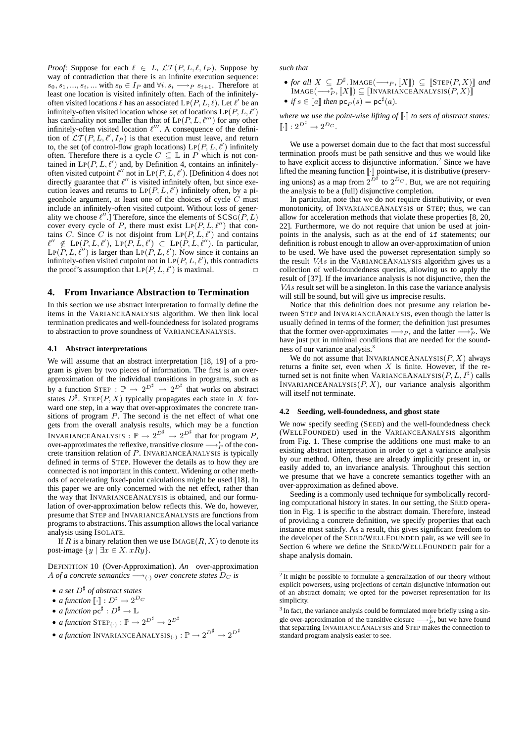*Proof:* Suppose for each  $\ell \in L$ ,  $\mathcal{LT}(P, L, \ell, I_P)$ . Suppose by way of contradiction that there is an infinite execution sequence:  $s_0, s_1, \ldots, s_i, \ldots$  with  $s_0 \in I_P$  and  $\forall i. s_i \longrightarrow_P s_{i+1}$ . Therefore at least one location is visited infinitely often. Each of the infinitelyoften visited locations  $\ell$  has an associated  $LP(P, L, \ell)$ . Let  $\ell'$  be an infinitely-often visited location whose set of locations  $\text{LP}(P, L, \ell')$ has cardinality not smaller than that of  $LP(P, L, \ell^{\prime\prime\prime})$  for any other infinitely-often visited location  $\ell'''$ . A consequence of the definition of  $\mathcal{LT}(P, L, \ell', I_P)$  is that execution must leave, and return to, the set (of control-flow graph locations)  $LP(P, L, \ell')$  infinitely often. Therefore there is a cycle  $C \subseteq \mathbb{L}$  in P which is not contained in  $LP(P, L, \ell')$  and, by Definition 4, contains an infinitelyoften visited cutpoint  $\ell''$  not in LP(P, L,  $\ell'$ ). [Definition 4 does not directly guarantee that  $\ell''$  is visited infinitely often, but since execution leaves and returns to  $LP(P, L, \ell')$  infinitely often, by a pigeonhole argument, at least one of the choices of cycle  $C$  must include an infinitely-often visited cutpoint. Without loss of generality we choose  $\ell''$ .] Therefore, since the elements of  $SCSG(P, L)$ cover every cycle of P, there must exist  $LP(P, L, \ell'')$  that contains C. Since C is not disjoint from  $LP(P, L, \ell')$  and contains  $\ell'' \notin \mathrm{LP}(P, L, \ell'), \mathrm{LP}(P, L, \ell') \subset \mathrm{LP}(P, L, \ell'').$  In particular,  $\text{LP}(P, L, \ell'')$  is larger than  $\text{LP}(P, L, \ell')$ . Now since it contains an infinitely-often visited cutpoint not in  $\text{LP}(P, L, \ell')$ , this contradicts the proof's assumption that  $LP(P, L, \ell')$  is maximal.

## **4. From Invariance Abstraction to Termination**

In this section we use abstract interpretation to formally define the items in the VARIANCEANALYSIS algorithm. We then link local termination predicates and well-foundedness for isolated programs to abstraction to prove soundness of VARIANCEANALYSIS.

#### **4.1 Abstract interpretations**

We will assume that an abstract interpretation [18, 19] of a program is given by two pieces of information. The first is an overapproximation of the individual transitions in programs, such as by a function STEP :  $\mathbb{P} \rightarrow 2^{D^{\sharp}} \rightarrow 2^{D^{\sharp}}$  that works on abstract states  $D^{\sharp}$ . STEP(P, X) typically propagates each state in X forward one step, in a way that over-approximates the concrete transitions of program  $P$ . The second is the net effect of what one gets from the overall analysis results, which may be a function INVARIANCEANALYSIS :  $\mathbb{P} \to 2^{D^{\sharp}} \to 2^{D^{\sharp}}$  that for program P, over-approximates the reflexive, transitive closure  $\longrightarrow_{P}^{*}$  of the concrete transition relation of P. INVARIANCEANALYSIS is typically defined in terms of STEP. However the details as to how they are connected is not important in this context. Widening or other methods of accelerating fixed-point calculations might be used [18]. In this paper we are only concerned with the net effect, rather than the way that INVARIANCEANALYSIS is obtained, and our formulation of over-approximation below reflects this. We do, however, presume that STEP and INVARIANCEANALYSIS are functions from programs to abstractions. This assumption allows the local variance analysis using ISOLATE.

If R is a binary relation then we use  $IMAGE(R, X)$  to denote its post-image  $\{y \mid \exists x \in X. xRy\}.$ 

DEFINITION 10 (Over-Approximation). *An* over-approximation A *of a concrete semantics*  $\longrightarrow$ <sub>(.)</sub> *over concrete states*  $D_C$  *is* 

- *a set*  $D^{\sharp}$  *of abstract states*
- *a function*  $\lbrack \cdot \rbrack : D^{\sharp} \rightarrow 2^{D_C}$
- *a function*  $\mathsf{pc}^\sharp : D^\sharp \to \mathbb{L}$
- *a function*  $STEP_{(.)}: \mathbb{P} \to 2^{D^{\sharp}} \to 2^{D^{\sharp}}$
- *a function* INVARIANCEANALYSIS<sub>(:)</sub> :  $\mathbb{P} \rightarrow 2^{D^{\sharp}} \rightarrow 2^{D^{\sharp}}$

*such that*

- *for all*  $X \subseteq D^{\sharp}$ . IMAGE( $\longrightarrow_{P}$ ,  $\llbracket X \rrbracket$ )  $\subseteq$   $\llbracket$ STEP $(P, X) \rrbracket$  *and*  $\text{IMAGE}(\longrightarrow^*_P, \llbracket X \rrbracket) \subseteq \llbracket \text{INVARIANCEANALYSIS}(P, X) \rrbracket$
- *if*  $s \in [a]$  *then*  $pc_P(s) = pc^{\sharp}(a)$ *.*

*where we use the point-wise lifting of*  $\lbrack \cdot \rbrack$  *to sets of abstract states:*  $\llbracket \cdot \rrbracket : 2^{D^{\sharp}} \to 2^{D_C}.$ 

We use a powerset domain due to the fact that most successful termination proofs must be path sensitive and thus we would like to have explicit access to disjunctive information.<sup>2</sup> Since we have lifted the meaning function  $\llbracket \cdot \rrbracket$  pointwise, it is distributive (preserving unions) as a map from  $2^{D^{\sharp}}$  to  $2^{D_C}$ . But, we are not requiring the analysis to be a (full) disjunctive completion.

In particular, note that we do not require distributivity, or even monotonicity, of INVARIANCEANALYSIS or STEP; thus, we can allow for acceleration methods that violate these properties [8, 20, 22]. Furthermore, we do not require that union be used at joinpoints in the analysis, such as at the end of if statements; our definition is robust enough to allow an over-approximation of union to be used. We have used the powerset representation simply so the result VAs in the VARIANCEANALYSIS algorithm gives us a collection of well-foundedness queries, allowing us to apply the result of [37]. If the invariance analysis is not disjunctive, then the VAs result set will be a singleton. In this case the variance analysis will still be sound, but will give us imprecise results.

Notice that this definition does not presume any relation between STEP and INVARIANCEANALYSIS, even though the latter is usually defined in terms of the former; the definition just presumes that the former over-approximates  $\longrightarrow_{P}$ , and the latter  $\longrightarrow_{P}^{*}$ . We have just put in minimal conditions that are needed for the soundness of our variance analysis.<sup>3</sup>

We do not assume that INVARIANCEANALYSIS $(P, X)$  always returns a finite set, even when  $X$  is finite. However, if the returned set is not finite when VARIANCEANALYSIS $(P, L, I^{\sharp})$  calls INVARIANCEANALYSIS $(P, X)$ , our variance analysis algorithm will itself not terminate.

#### **4.2 Seeding, well-foundedness, and ghost state**

We now specify seeding (SEED) and the well-foundedness check (WELLFOUNDED) used in the VARIANCEANALYSIS algorithm from Fig. 1. These comprise the additions one must make to an existing abstract interpretation in order to get a variance analysis by our method. Often, these are already implicitly present in, or easily added to, an invariance analysis. Throughout this section we presume that we have a concrete semantics together with an over-approximation as defined above.

Seeding is a commonly used technique for symbolically recording computational history in states. In our setting, the SEED operation in Fig. 1 is specific to the abstract domain. Therefore, instead of providing a concrete definition, we specify properties that each instance must satisfy. As a result, this gives significant freedom to the developer of the SEED/WELLFOUNDED pair, as we will see in Section 6 where we define the SEED/WELLFOUNDED pair for a shape analysis domain.

<sup>&</sup>lt;sup>2</sup> It might be possible to formulate a generalization of our theory without explicit powersets, using projections of certain disjunctive information out of an abstract domain; we opted for the powerset representation for its simplicity.

<sup>&</sup>lt;sup>3</sup> In fact, the variance analysis could be formulated more briefly using a single over-approximation of the transitive closure  $\longrightarrow_{P}^{+}$ , but we have found that separating INVARIANCEANALYSIS and STEP makes the connection to standard program analysis easier to see.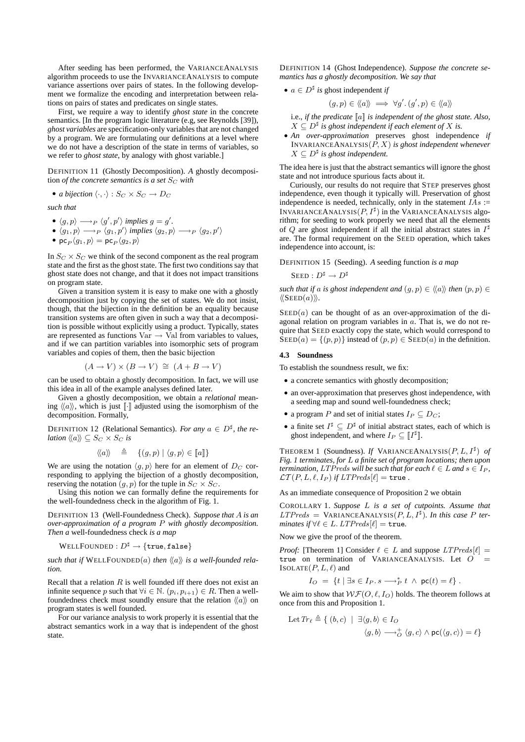After seeding has been performed, the VARIANCEANALYSIS algorithm proceeds to use the INVARIANCEANALYSIS to compute variance assertions over pairs of states. In the following development we formalize the encoding and interpretation between relations on pairs of states and predicates on single states.

First, we require a way to identify *ghost state* in the concrete semantics. [In the program logic literature (e.g, see Reynolds [39]), *ghost variables* are specification-only variables that are not changed by a program. We are formulating our definitions at a level where we do not have a description of the state in terms of variables, so we refer to *ghost state*, by analogy with ghost variable.]

DEFINITION 11 (Ghostly Decomposition). *A* ghostly decomposition *of the concrete semantics is a set*  $S_C$  *with* 

• *a bijection*  $\langle \cdot, \cdot \rangle : S_C \times S_C \rightarrow D_C$ 

*such that*

- $\langle g, p \rangle \longrightarrow_P \langle g', p' \rangle$  implies  $g = g'$ .
- $\langle g_1, p \rangle \longrightarrow_P \langle g_1, p' \rangle$  implies  $\langle g_2, p \rangle \longrightarrow_P \langle g_2, p' \rangle$ •  $p c_P \langle g_1, p \rangle = p c_P \langle g_2, p \rangle$

In  $S_C \times S_C$  we think of the second component as the real program state and the first as the ghost state. The first two conditions say that ghost state does not change, and that it does not impact transitions on program state.

Given a transition system it is easy to make one with a ghostly decomposition just by copying the set of states. We do not insist, though, that the bijection in the definition be an equality because transition systems are often given in such a way that a decomposition is possible without explicitly using a product. Typically, states are represented as functions  $\text{Var} \rightarrow \text{Val}$  from variables to values, and if we can partition variables into isomorphic sets of program variables and copies of them, then the basic bijection

$$
(A \to V) \times (B \to V) \cong (A + B \to V)
$$

can be used to obtain a ghostly decomposition. In fact, we will use this idea in all of the example analyses defined later.

Given a ghostly decomposition, we obtain a *relational* meaning  $\langle \langle a \rangle \rangle$ , which is just [ $\cdot$ ] adjusted using the isomorphism of the decomposition. Formally,

DEFINITION 12 (Relational Semantics). *For any*  $a \in D^{\sharp}$ , the re*lation*  $\langle \langle a \rangle \rangle \subseteq S_C \times S_C$  *is* 

$$
\langle\!\langle a \rangle\!\rangle \quad \triangleq \quad \{(g,p) \mid \langle g,p \rangle \in [ \! [ a ] \! ]\}
$$

We are using the notation  $\langle g, p \rangle$  here for an element of  $D_C$  corresponding to applying the bijection of a ghostly decomposition, reserving the notation  $(g, p)$  for the tuple in  $S_C \times S_C$ .

Using this notion we can formally define the requirements for the well-foundedness check in the algorithm of Fig. 1.

DEFINITION 13 (Well-Foundedness Check). *Suppose that* A *is an over-approximation of a program* P *with ghostly decomposition. Then a* well-foundedness check *is a map*

 $\operatorname{WELL} \mathrm{FOUNDED} : D^\sharp \to \{\mathtt{true},\mathtt{false}\}$ 

such that if  $WELL$ FOUNDED(a) then  $\langle \langle a \rangle \rangle$  is a well-founded rela*tion.*

Recall that a relation  $R$  is well founded iff there does not exist an infinite sequence p such that  $\forall i \in \mathbb{N}$ .  $(p_i, p_{i+1}) \in R$ . Then a wellfoundedness check must soundly ensure that the relation  $\langle \langle a \rangle \rangle$  on program states is well founded.

For our variance analysis to work properly it is essential that the abstract semantics work in a way that is independent of the ghost state.

DEFINITION 14 (Ghost Independence). *Suppose the concrete semantics has a ghostly decomposition. We say that*

• 
$$
a \in D^{\sharp}
$$
 is ghost independent if

$$
(g, p) \in \langle\!\langle a \rangle\!\rangle \implies \forall g'. \, (g', p) \in \langle\!\langle a \rangle\!\rangle
$$

i.e., *if the predicate* [[a]] *is independent of the ghost state. Also,*  $X \subseteq D^{\sharp}$  is ghost independent if each element of  $X$  is.

• *An over-approximation* preserves ghost independence *if* INVARIANCEANALYSIS(P, X) *is ghost independent whenever*  $X \subseteq D^{\sharp}$  is ghost independent.

The idea here is just that the abstract semantics will ignore the ghost state and not introduce spurious facts about it.

Curiously, our results do not require that STEP preserves ghost independence, even though it typically will. Preservation of ghost independence is needed, technically, only in the statement  $\overline{IAs}$  := INVARIANCEANALYSIS $(P, I^{\sharp})$  in the VARIANCEANALYSIS algorithm; for seeding to work properly we need that all the elements of Q are ghost independent if all the initial abstract states in  $I^{\sharp}$ are. The formal requirement on the SEED operation, which takes independence into account, is:

DEFINITION 15 (Seeding). *A* seeding function *is a map*

 $\text{Seed}: D^\sharp \rightarrow D^\sharp$ 

*such that if* a *is ghost independent and*  $(q, p) \in \langle \langle a \rangle \rangle$  *then*  $(p, p) \in$  $\langle\langle \text{SEED}(a)\rangle\rangle$ .

 $\text{SEED}(a)$  can be thought of as an over-approximation of the diagonal relation on program variables in  $\alpha$ . That is, we do not require that SEED exactly copy the state, which would correspond to  $\overline{\text{SEED}}(a) = \{(p, p)\}\$ instead of  $(p, p) \in \text{SEED}(a)$  in the definition.

### **4.3 Soundness**

To establish the soundness result, we fix:

- a concrete semantics with ghostly decomposition;
- an over-approximation that preserves ghost independence, with a seeding map and sound well-foundedness check;
- a program P and set of initial states  $I_P \subseteq D_C$ ;
- a finite set  $I^{\sharp} \subseteq D^{\sharp}$  of initial abstract states, each of which is ghost independent, and where  $I_P \subseteq [I^{\sharp}].$

THEOREM 1 (Soundness). *If* VARIANCEANALYSIS $(P, L, I^{\sharp})$  *of Fig. 1 terminates, for* L *a finite set of program locations; then upon termination,* LTPreds will be such that for each  $\ell \in L$  and  $s \in I_P$ ,  $\mathcal{LT}(P, L, \ell, I_P)$  *if*  $LTPreds[\ell] = \text{true}$ .

As an immediate consequence of Proposition 2 we obtain

COROLLARY 1. *Suppose* L *is a set of cutpoints. Assume that*  $LTPreds = \text{VARIANCEANALYSIS}(P, L, I^{\sharp})$ . In this case P ter*minates if*  $\forall \ell \in L$ .  $LTPreds[\ell] = \text{true}$ .

Now we give the proof of the theorem.

*Proof:* [Theorem 1] Consider  $\ell \in L$  and suppose  $LTPreds[\ell] =$ true on termination of VARIANCEANALYSIS. Let O = ISOLATE $(P, L, \ell)$  and

$$
I_O = \{t \mid \exists s \in I_P. s \longrightarrow_P^* t \land \mathsf{pc}(t) = \ell\}.
$$

We aim to show that  $W\mathcal{F}(O, \ell, I_O)$  holds. The theorem follows at once from this and Proposition 1.

Let 
$$
Tr_{\ell} \triangleq \{ (b, c) | \exists \langle g, b \rangle \in I_O
$$
  
 $\langle g, b \rangle \longrightarrow_O^+ \langle g, c \rangle \wedge pc(\langle g, c \rangle) = \ell \}$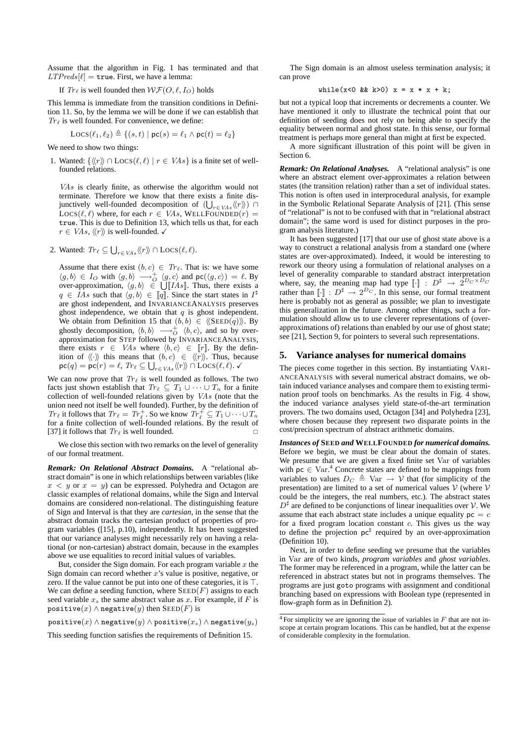Assume that the algorithm in Fig. 1 has terminated and that  $LTPreds[\ell] = \text{true}$ . First, we have a lemma:

If  $Tr_{\ell}$  is well founded then  $WF(O, \ell, I_Q)$  holds

This lemma is immediate from the transition conditions in Definition 11. So, by the lemma we will be done if we can establish that  $Tr_{\ell}$  is well founded. For convenience, we define:

$$
Locs(\ell_1, \ell_2) \triangleq \{(s, t) \mid pc(s) = \ell_1 \land pc(t) = \ell_2\}
$$

We need to show two things:

1. Wanted:  $\{\langle\langle r \rangle\rangle \cap \text{Locs}(\ell, \ell) | r \in VAs\}$  is a finite set of wellfounded relations.

VAs is clearly finite, as otherwise the algorithm would not terminate. Therefore we know that there exists a finite disjunctively well-founded decomposition of  $(\bigcup_{r \in VAs} \langle \langle r \rangle \rangle)$  $Locs(\ell, \ell)$  where, for each  $r \in VAs$ , WELLFOUNDED $(r)$  = true. This is due to Definition 13, which tells us that, for each  $r \in VAs, \langle\langle r \rangle\rangle$  is well-founded.  $\checkmark$ 

2. Wanted:  $Tr_{\ell} \subseteq \bigcup_{r \in VAs} \langle \langle r \rangle \rangle \cap \text{Locs}(\ell, \ell)$ .

Assume that there exist  $(b, c) \in Tr_{\ell}$ . That is: we have some  $\langle g, b \rangle \in I_O$  with  $\langle g, b \rangle \longrightarrow_O^+ \langle g, c \rangle$  and  $\mathsf{pc}(\langle g, c \rangle) = \ell$ . By over-approximation,  $\langle g, b \rangle \in \bigcup [IAs]$ . Thus, there exists a  $q \in \overline{IAs}$  such that  $\langle g, b \rangle \in [q]$ . Since the start states in  $I^{\sharp}$ are ghost independent, and INVARIANCEANALYSIS preserves ghost independence, we obtain that  $q$  is ghost independent. We obtain from Definition 15 that  $(b, b) \in \langle \langle \text{SEED}(q) \rangle \rangle$ . By ghostly decomposition,  $\langle b, b \rangle \longrightarrow_0^+ \langle b, c \rangle$ , and so by overapproximation for STEP followed by INVARIANCEANALYSIS, there exists  $r \in VAs$  where  $\langle b, c \rangle \in [r]$ . By the definition of  $\langle \langle \cdot \rangle \rangle$  this means that  $(b, c) \in \langle \langle r \rangle \rangle$ . Thus, because  $\mathsf{pc}(q) = \mathsf{pc}(r) = \ell, \ Tr_{\ell} \subseteq \bigcup_{r \in VAs} \langle \! \langle r \rangle \! \rangle \cap \mathrm{Locs}(\ell, \ell).$ 

We can now prove that  $Tr_{\ell}$  is well founded as follows. The two facts just shown establish that  $Tr_{\ell} \subseteq T_1 \cup \cdots \cup T_n$  for a finite collection of well-founded relations given by VAs (note that the union need not itself be well founded). Further, by the definition of  $Tr_{\ell}$  it follows that  $Tr_{\ell} = Tr_{\ell}^+$ . So we know  $Tr_{\ell}^+ \subseteq T_1 \cup \cdots \cup T_n$ for a finite collection of well-founded relations. By the result of [37] it follows that  $Tr_{\ell}$  is well founded.

We close this section with two remarks on the level of generality of our formal treatment.

*Remark: On Relational Abstract Domains.* A "relational abstract domain" is one in which relationships between variables (like  $x < y$  or  $x = y$ ) can be expressed. Polyhedra and Octagon are classic examples of relational domains, while the Sign and Interval domains are considered non-relational. The distinguishing feature of Sign and Interval is that they are *cartesian*, in the sense that the abstract domain tracks the cartesian product of properties of program variables ([15], p.10), independently. It has been suggested that our variance analyses might necessarily rely on having a relational (or non-cartesian) abstract domain, because in the examples above we use equalities to record initial values of variables.

But, consider the Sign domain. For each program variable  $x$  the Sign domain can record whether  $x$ 's value is positive, negative, or zero. If the value cannot be put into one of these categories, it is  $\top$ . We can define a seeding function, where  $\text{SEED}(F)$  assigns to each seed variable  $x_s$  the same abstract value as x. For example, if F is positive $(x) \wedge$  negative $(y)$  then SEED(F) is

positive $(x) \wedge$  negative $(y) \wedge$  positive $(x_s) \wedge$  negative $(y_s)$ 

This seeding function satisfies the requirements of Definition 15.

The Sign domain is an almost useless termination analysis; it can prove

while 
$$
(x < 0 \& k > 0)
$$
 x = x \* x + k;

but not a typical loop that increments or decrements a counter. We have mentioned it only to illustrate the technical point that our definition of seeding does not rely on being able to specify the equality between normal and ghost state. In this sense, our formal treatment is perhaps more general than might at first be expected.

A more significant illustration of this point will be given in Section 6.

*Remark: On Relational Analyses.* A "relational analysis" is one where an abstract element over-approximates a relation between states (the transition relation) rather than a set of individual states. This notion is often used in interprocedural analysis, for example in the Symbolic Relational Separate Analysis of [21]. (This sense of "relational" is not to be confused with that in "relational abstract domain"; the same word is used for distinct purposes in the program analysis literature.)

It has been suggested [17] that our use of ghost state above is a way to construct a relational analysis from a standard one (where states are over-approximated). Indeed, it would be interesting to rework our theory using a formulation of relational analyses on a level of generality comparable to standard abstract interpretation where, say, the meaning map had type  $\llbracket \cdot \rrbracket$  :  $D^{\sharp} \rightarrow 2^{D_C \times D_C}$ rather than  $\llbracket \cdot \rrbracket : D^{\sharp} \to 2^{D_C}$ . In this sense, our formal treatment here is probably not as general as possible; we plan to investigate this generalization in the future. Among other things, such a formulation should allow us to use cleverer representations of (overapproximations of) relations than enabled by our use of ghost state; see [21], Section 9, for pointers to several such representations.

#### **5. Variance analyses for numerical domains**

The pieces come together in this section. By instantiating VARI-ANCEANALYSIS with several numerical abstract domains, we obtain induced variance analyses and compare them to existing termination proof tools on benchmarks. As the results in Fig. 4 show, the induced variance analyses yield state-of-the-art termination provers. The two domains used, Octagon [34] and Polyhedra [23], where chosen because they represent two disparate points in the cost/precision spectrum of abstract arithmetic domains.

*Instances of* **SEED** *and* **WELLFOUNDED** *for numerical domains.* Before we begin, we must be clear about the domain of states. We presume that we are given a fixed finite set Var of variables with  $pc \in \text{Var}^4$  Concrete states are defined to be mappings from variables to values  $D_C \triangleq \text{Var} \rightarrow \mathcal{V}$  that (for simplicity of the presentation) are limited to a set of numerical values  $\mathcal V$  (where  $\mathcal V$ could be the integers, the real numbers, etc.). The abstract states  $D^{\sharp}$  are defined to be conjunctions of linear inequalities over V. We assume that each abstract state includes a unique equality  $pc = c$ for a fixed program location constant  $c$ . This gives us the way to define the projection  $pc^{\sharp}$  required by an over-approximation (Definition 10).

Next, in order to define seeding we presume that the variables in Var are of two kinds, *program variables* and *ghost variables*. The former may be referenced in a program, while the latter can be referenced in abstract states but not in programs themselves. The programs are just goto programs with assignment and conditional branching based on expressions with Boolean type (represented in flow-graph form as in Definition 2).

 $4$  For simplicity we are ignoring the issue of variables in  $F$  that are not inscope at certain program locations. This can be handled, but at the expense of considerable complexity in the formulation.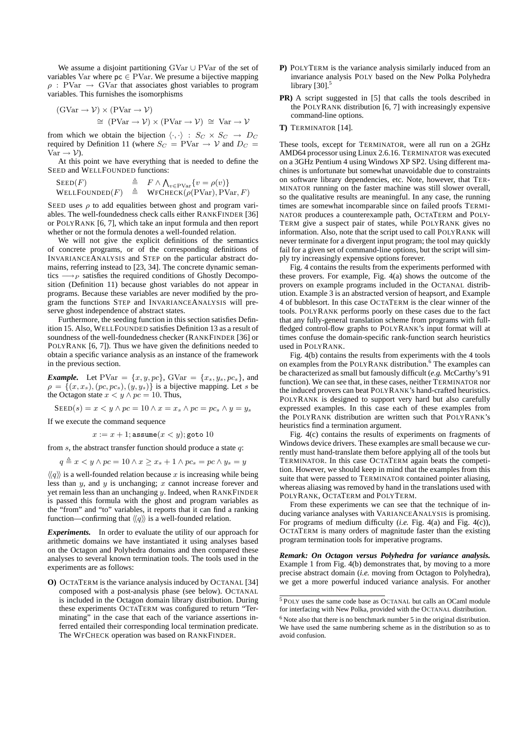We assume a disjoint partitioning GVar ∪ PVar of the set of variables Var where  $p \in \mathrm{PVar}$ . We presume a bijective mapping  $\rho$ : PVar  $\rightarrow$  GVar that associates ghost variables to program variables. This furnishes the isomorphisms

$$
\begin{aligned} (\text{GVar} \to \mathcal{V}) \times (\text{PVar} \to \mathcal{V}) \\ &\cong (\text{PVar} \to \mathcal{V}) \times (\text{PVar} \to \mathcal{V}) \cong \text{Var} \to \mathcal{V} \end{aligned}
$$

from which we obtain the bijection  $\langle \cdot, \cdot \rangle : S_C \times S_C \rightarrow D_C$ required by Definition 11 (where  $S_C = \text{PVar} \rightarrow \mathcal{V}$  and  $D_C =$  $Var \rightarrow V$ ).

At this point we have everything that is needed to define the SEED and WELLFOUNDED functions:

SEED(F)  $\triangleq$   $F \wedge \bigwedge_{v \in \text{PVar}} \{v = \rho(v)\}\$  $\text{WELLFOUNDED}(F) \triangleq \text{WFCHECK}(\rho(\text{PVar}), \text{PVar}, F)$ 

SEED uses  $\rho$  to add equalities between ghost and program variables. The well-foundedness check calls either RANKFINDER [36] or POLYRANK [6, 7], which take an input formula and then report whether or not the formula denotes a well-founded relation.

We will not give the explicit definitions of the semantics of concrete programs, or of the corresponding definitions of INVARIANCEANALYSIS and STEP on the particular abstract domains, referring instead to [23, 34]. The concrete dynamic semantics  $\longrightarrow_P$  satisfies the required conditions of Ghostly Decomposition (Definition 11) because ghost variables do not appear in programs. Because these variables are never modified by the program the functions STEP and INVARIANCEANALYSIS will preserve ghost independence of abstract states.

Furthermore, the seeding function in this section satisfies Definition 15. Also, WELLFOUNDED satisfies Definition 13 as a result of soundness of the well-foundedness checker (RANKFINDER [36] or POLYRANK [6, 7]). Thus we have given the definitions needed to obtain a specific variance analysis as an instance of the framework in the previous section.

*Example.* Let  $PVar = \{x, y, pc\}$ ,  $GVar = \{x_s, y_s, pc_s\}$ , and  $\rho = \{(x, x_s), (pc, pc_s), (y, y_s)\}\$ is a bijective mapping. Let s be the Octagon state  $x < y \land pc = 10$ . Thus,

 $\text{SEED}(s) = x \lt y \wedge pc = 10 \wedge x = x_s \wedge pc = pc_s \wedge y = y_s$ 

If we execute the command sequence

 $x := x + 1$ ; assume $(x < y)$ ; goto 10

from  $s$ , the abstract transfer function should produce a state  $q$ :

 $q \triangleq x < y \wedge pc = 10 \wedge x \geq x_s + 1 \wedge pc_s = pc \wedge y_s = y$ 

 $\langle \langle q \rangle \rangle$  is a well-founded relation because x is increasing while being less than  $y$ , and  $y$  is unchanging;  $x$  cannot increase forever and yet remain less than an unchanging y. Indeed, when RANKFINDER is passed this formula with the ghost and program variables as the "from" and "to" variables, it reports that it can find a ranking function—confirming that  $\langle \langle q \rangle \rangle$  is a well-founded relation.

*Experiments.* In order to evaluate the utility of our approach for arithmetic domains we have instantiated it using analyses based on the Octagon and Polyhedra domains and then compared these analyses to several known termination tools. The tools used in the experiments are as follows:

**O)** OCTATERM is the variance analysis induced by OCTANAL [34] composed with a post-analysis phase (see below). OCTANAL is included in the Octagon domain library distribution. During these experiments OCTATERM was configured to return "Terminating" in the case that each of the variance assertions inferred entailed their corresponding local termination predicate. The WFCHECK operation was based on RANKFINDER.

- **P)** POLYTERM is the variance analysis similarly induced from an invariance analysis POLY based on the New Polka Polyhedra library  $[30]$ <sup>5</sup>
- **PR)** A script suggested in [5] that calls the tools described in the POLYRANK distribution [6, 7] with increasingly expensive command-line options.
- **T)** TERMINATOR [14].

These tools, except for TERMINATOR, were all run on a 2GHz AMD64 processor using Linux 2.6.16. TERMINATOR was executed on a 3GHz Pentium 4 using Windows XP SP2. Using different machines is unfortunate but somewhat unavoidable due to constraints on software library dependencies, etc. Note, however, that TER-MINATOR running on the faster machine was still slower overall, so the qualitative results are meaningful. In any case, the running times are somewhat incomparable since on failed proofs TERMI-NATOR produces a counterexample path, OCTATERM and POLY-TERM give a suspect pair of states, while POLYRANK gives no information. Also, note that the script used to call POLYRANK will never terminate for a divergent input program; the tool may quickly fail for a given set of command-line options, but the script will simply try increasingly expensive options forever.

Fig. 4 contains the results from the experiments performed with these provers. For example, Fig. 4(a) shows the outcome of the provers on example programs included in the OCTANAL distribution. Example 3 is an abstracted version of heapsort, and Example 4 of bubblesort. In this case OCTATERM is the clear winner of the tools. POLYRANK performs poorly on these cases due to the fact that any fully-general translation scheme from programs with fullfledged control-flow graphs to POLYRANK's input format will at times confuse the domain-specific rank-function search heuristics used in POLYRANK.

Fig. 4(b) contains the results from experiments with the 4 tools on examples from the POLYRANK distribution.<sup>6</sup> The examples can be characterized as small but famously difficult (*e.g.* McCarthy's 91 function). We can see that, in these cases, neither TERMINATOR nor the induced provers can beat POLYRANK's hand-crafted heuristics. POLYRANK is designed to support very hard but also carefully expressed examples. In this case each of these examples from the POLYRANK distribution are written such that POLYRANK's heuristics find a termination argument.

Fig. 4(c) contains the results of experiments on fragments of Windows device drivers. These examples are small because we currently must hand-translate them before applying all of the tools but TERMINATOR. In this case OCTATERM again beats the competition. However, we should keep in mind that the examples from this suite that were passed to TERMINATOR contained pointer aliasing, whereas aliasing was removed by hand in the translations used with POLYRANK, OCTATERM and POLYTERM.

From these experiments we can see that the technique of inducing variance analyses with VARIANCEANALYSIS is promising. For programs of medium difficulty (*i.e.* Fig. 4(a) and Fig. 4(c)), OCTATERM is many orders of magnitude faster than the existing program termination tools for imperative programs.

*Remark: On Octagon versus Polyhedra for variance analysis.* Example 1 from Fig. 4(b) demonstrates that, by moving to a more precise abstract domain (*i.e.* moving from Octagon to Polyhedra), we get a more powerful induced variance analysis. For another

<sup>5</sup> POLY uses the same code base as OCTANAL but calls an OCaml module for interfacing with New Polka, provided with the OCTANAL distribution.  $6$  Note also that there is no benchmark number 5 in the original distribution.

We have used the same numbering scheme as in the distribution so as to avoid confusion.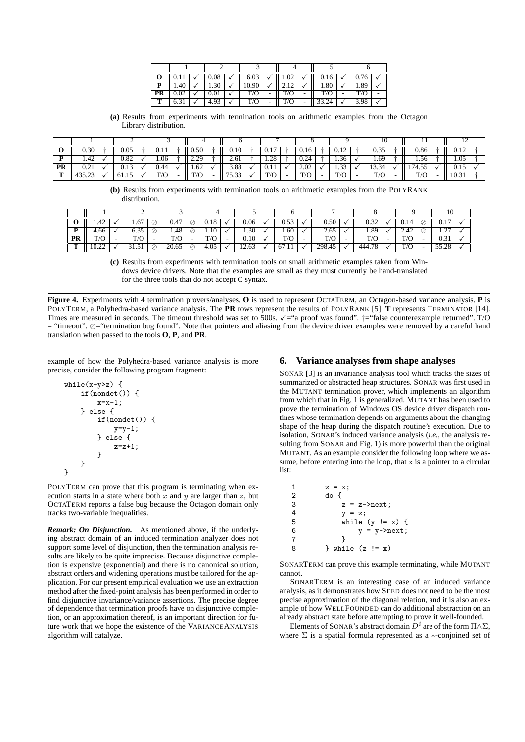|    |      |  | 0.08 | 6.03  |   | 1.02 |   | 0.16  |      |  |  |
|----|------|--|------|-------|---|------|---|-------|------|--|--|
|    | 1.40 |  | 1.30 | 10.90 |   |      |   | 1.80  | 1.89 |  |  |
| PR | 0.02 |  | 0.01 | T/O   | - | T/O  | - | T/O   | T/O  |  |  |
| m  | 0.21 |  | 4.93 | T/O   | - | T/O  | - | 33.24 | 3.98 |  |  |

**(a)** Results from experiments with termination tools on arithmetic examples from the Octagon Library distribution.

| v                        | U. 30                 | 0.05             | 0.11 | 0.50          | 0.10     | v.i   | 0.16 | 0.14                     | ∪.JJ |   | 0.86           | 0.14          |  |
|--------------------------|-----------------------|------------------|------|---------------|----------|-------|------|--------------------------|------|---|----------------|---------------|--|
| $\overline{\phantom{a}}$ | 4.42                  | 0.82             | 0.06 | ാ<br><u>.</u> | 2.61     | 1.28  | 0.24 | 1.36                     | 1.69 |   | 1.56           | 1.05          |  |
| <b>PR</b>                | $\sim$ $\sim$<br>∪.∠⊥ | ົ 1 ຕ<br><u></u> | 0.44 | .62           | 3.88     | v. 11 | 2.02 | $\sim$<br>$\sim$<br>1.JJ | 10.J |   | $\overline{ }$ | $\sim$<br>∪.⊥ |  |
|                          | – ⊃ ⊃ • — –           |                  |      |               | <b>.</b> | T/O   | T/O  | T/6                      | T/O  | - | T/O            | 10.31         |  |

**(b)** Results from experiments with termination tools on arithmetic examples from the POLYRANK distribution.

|    |               | ∸         |        |                       |   |        |                          |               |               |   |        |              |              |      |   |                           |  |
|----|---------------|-----------|--------|-----------------------|---|--------|--------------------------|---------------|---------------|---|--------|--------------|--------------|------|---|---------------------------|--|
| v  | 1.42          | 6<br>1.01 | ⊵      | 0.47                  | ⊵ | v. 1 v |                          | 0.06          | <u></u>       |   | 0.50   |              | v. <i>J∠</i> | 0.17 | ◡ | U.I                       |  |
|    | 4.66          | .<br>0.3J | ⊵      | 1.48                  | ⊵ | 1.10   |                          | 1.30          | 1.60          |   | 2.65   |              | 1.89         |      | ◡ | $\mathcal{L}$<br>$\cdots$ |  |
| PR | $T/\cap$<br>ັ | T/O       | $\sim$ | T/O                   | - | T/O    | $\overline{\phantom{a}}$ | $0.10\,$      | $T/\cap$<br>ັ | - | T/O    | $\equiv$     | T/C          | T/G  | - | 0.31                      |  |
| m  | 10.44         |           | ⊭      | $20^{\circ}$<br>20.05 | К | 4.05   |                          | 63<br>$1 - 0$ | 167.1.        |   | 298.45 | $\checkmark$ | 76 V<br>AAA  | T/C  |   | ാ<br>-----                |  |

**(c)** Results from experiments with termination tools on small arithmetic examples taken from Windows device drivers. Note that the examples are small as they must currently be hand-translated for the three tools that do not accept C syntax.

**Figure 4.** Experiments with 4 termination provers/analyses. **O** is used to represent OCTATERM, an Octagon-based variance analysis. **P** is POLYTERM, a Polyhedra-based variance analysis. The **PR** rows represent the results of POLYRANK [5]. **T** represents TERMINATOR [14]. Times are measured in seconds. The timeout threshold was set to 500s.  $\checkmark$  ="a proof was found". †="false counterexample returned". T/O  $=$  "timeout".  $\oslash$  "termination bug found". Note that pointers and aliasing from the device driver examples were removed by a careful hand translation when passed to the tools **O**, **P**, and **PR**.

example of how the Polyhedra-based variance analysis is more precise, consider the following program fragment:

```
while(x+y>z) {
    if(nondet()) {
        x=x-1;} else {
        if(nondet()) {
            y=y-1:
        } else {
            z=z+1:
        }
    }
}
```
POLYTERM can prove that this program is terminating when execution starts in a state where both  $x$  and  $y$  are larger than  $z$ , but OCTATERM reports a false bug because the Octagon domain only tracks two-variable inequalities.

*Remark: On Disjunction.* As mentioned above, if the underlying abstract domain of an induced termination analyzer does not support some level of disjunction, then the termination analysis results are likely to be quite imprecise. Because disjunctive completion is expensive (exponential) and there is no canonical solution, abstract orders and widening operations must be tailored for the application. For our present empirical evaluation we use an extraction method after the fixed-point analysis has been performed in order to find disjunctive invariance/variance assertions. The precise degree of dependence that termination proofs have on disjunctive completion, or an approximation thereof, is an important direction for future work that we hope the existence of the VARIANCEANALYSIS algorithm will catalyze.

# **6. Variance analyses from shape analyses**

SONAR [3] is an invariance analysis tool which tracks the sizes of summarized or abstracted heap structures. SONAR was first used in the MUTANT termination prover, which implements an algorithm from which that in Fig. 1 is generalized. MUTANT has been used to prove the termination of Windows OS device driver dispatch routines whose termination depends on arguments about the changing shape of the heap during the dispatch routine's execution. Due to isolation, SONAR's induced variance analysis (*i.e.,* the analysis resulting from SONAR and Fig. 1) is more powerful than the original MUTANT. As an example consider the following loop where we assume, before entering into the loop, that  $x$  is a pointer to a circular list:

```
\begin{array}{ccc} 1 & z = x; \\ 2 & \text{do} \end{array}2 do {
3 z = z->next;
4 y = z;5 while (y := x) {
6 y = y->next;7 }
8 } while (z != x)
```
SONARTERM can prove this example terminating, while MUTANT cannot.

SONARTERM is an interesting case of an induced variance analysis, as it demonstrates how SEED does not need to be the most precise approximation of the diagonal relation, and it is also an example of how WELLFOUNDED can do additional abstraction on an already abstract state before attempting to prove it well-founded.

Elements of SONAR's abstract domain  $\overline{D}^{\sharp}$  are of the form  $\Pi \wedge \Sigma$ , where  $\Sigma$  is a spatial formula represented as a  $*$ -conjoined set of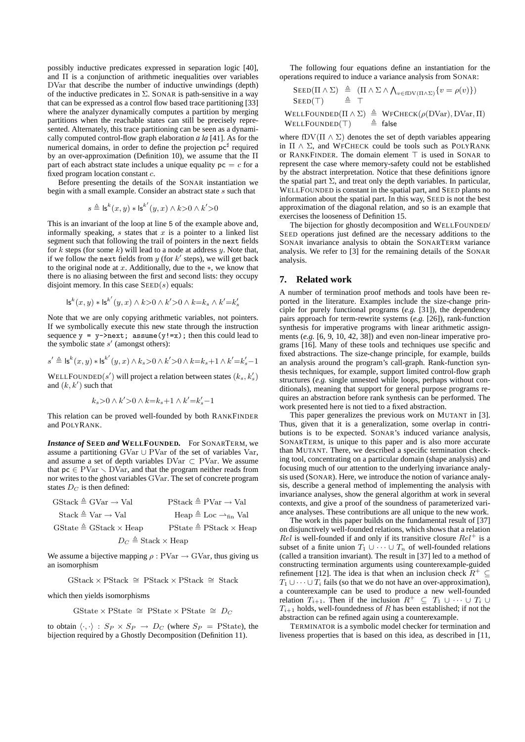possibly inductive predicates expressed in separation logic [40], and  $\Pi$  is a conjunction of arithmetic inequalities over variables DVar that describe the number of inductive unwindings (depth) of the inductive predicates in  $\Sigma$ . SONAR is path-sensitive in a way that can be expressed as a control flow based trace partitioning [33] where the analyzer dynamically computes a partition by merging partitions when the reachable states can still be precisely represented. Alternately, this trace partitioning can be seen as a dynamically computed control-flow graph elaboration *a la* [41]. As for the numerical domains, in order to define the projection  $pc^{\sharp}$  required by an over-approximation (Definition 10), we assume that the Π part of each abstract state includes a unique equality  $pc = c$  for a fixed program location constant c.

Before presenting the details of the SONAR instantiation we begin with a small example. Consider an abstract state s such that

$$
s \triangleq \mathsf{ls}^k(x, y) * \mathsf{ls}^{k'}(y, x) \land k > 0 \land k' > 0
$$

This is an invariant of the loop at line 5 of the example above and, informally speaking, s states that  $x$  is a pointer to a linked list segment such that following the trail of pointers in the next fields for k steps (for some k) will lead to a node at address  $y$ . Note that, if we follow the next fields from  $y$  (for  $k'$  steps), we will get back to the original node at x. Additionally, due to the  $\ast$ , we know that there is no aliasing between the first and second lists: they occupy disjoint memory. In this case  $\text{SEED}(s)$  equals:

$$
\mathsf{ls}^k(x,y) * \mathsf{ls}^{k'}(y,x) \wedge k{>}0 \wedge k'{>}0 \wedge k{=}k_s \wedge k'{=}k_s'
$$

Note that we are only copying arithmetic variables, not pointers. If we symbolically execute this new state through the instruction sequence  $y = y$ ->next; assume(y!=x); then this could lead to the symbolic state  $s'$  (amongst others):

$$
s' \triangleq \mathsf{ls}^k(x,y) * \mathsf{ls}^{k'}(y,x) \wedge k_s {>} 0 \wedge k'{>} 0 \wedge k {=} k_s {+} 1 \wedge k'{=} k_s' {-} 1
$$

WELLFOUNDED $(s')$  will project a relation between states  $(k_s, k'_s)$ and  $(k, k')$  such that

$$
k_s{>}0 \wedge k'{>}0 \wedge k{=}k_s{+}1 \wedge k'{=}k'_s{-}1
$$

This relation can be proved well-founded by both RANKFINDER and POLYRANK.

*Instance of* **SEED** *and* **WELLFOUNDED***.* For SONARTERM, we assume a partitioning GVar ∪ PVar of the set of variables Var, and assume a set of depth variables  $DVar \subset PVar$ . We assume that  $pc \in \text{PVar} \setminus \text{DVar}$ , and that the program neither reads from nor writes to the ghost variables GVar. The set of concrete program states  $D<sub>C</sub>$  is then defined:

| $GStack \triangleq GVar \rightarrow Val$ | $PStack \triangleq PVar \rightarrow Val$               |  |  |  |  |  |  |  |
|------------------------------------------|--------------------------------------------------------|--|--|--|--|--|--|--|
| $Stack \triangleq Var \rightarrow Val$   | Heap $\triangleq$ Loc $\rightarrow$ <sub>fin</sub> Val |  |  |  |  |  |  |  |
| $GState \triangleq GStack \times Heap$   | $PState \triangleq PStack \times Heap$                 |  |  |  |  |  |  |  |
| $D_C \triangleq$ Stack $\times$ Heap     |                                                        |  |  |  |  |  |  |  |

We assume a bijective mapping  $\rho$ : PVar  $\rightarrow$  GVar, thus giving us an isomorphism

GStack × PStack ∼= PStack × PStack ∼= Stack

which then yields isomorphisms

GState × PState ≅ PState × PState ≅  $D<sub>C</sub>$ 

to obtain  $\langle \cdot, \cdot \rangle$  :  $S_P \times S_P \rightarrow D_C$  (where  $S_P$  = PState), the bijection required by a Ghostly Decomposition (Definition 11).

The following four equations define an instantiation for the operations required to induce a variance analysis from SONAR:

$$
\begin{array}{rcl}\n\text{SED}(\Pi \wedge \Sigma) & \triangleq & (\Pi \wedge \Sigma \wedge \bigwedge_{v \in fDV(\Pi \wedge \Sigma)} \{v = \rho(v)\}) \\
\text{SED}(\top) & \triangleq & \top\n\end{array}
$$

WELLFOUNDED( $\Pi \wedge \Sigma$ )  $\triangleq$  WFCHECK( $\rho$ (DVar), DVar,  $\Pi$ ) WELLFOUNDED(T)  $\triangleq$  false

where fDV( $\Pi \wedge \Sigma$ ) denotes the set of depth variables appearing in  $\Pi \wedge \Sigma$ , and WFCHECK could be tools such as POLYRANK or RANKFINDER. The domain element  $\top$  is used in SONAR to represent the case where memory-safety could not be established by the abstract interpretation. Notice that these definitions ignore the spatial part  $\Sigma$ , and treat only the depth variables. In particular, WELLFOUNDED is constant in the spatial part, and SEED plants no information about the spatial part. In this way, SEED is not the best approximation of the diagonal relation, and so is an example that exercises the looseness of Definition 15.

The bijection for ghostly decomposition and WELLFOUNDED/ SEED operations just defined are the necessary additions to the SONAR invariance analysis to obtain the SONARTERM variance analysis. We refer to [3] for the remaining details of the SONAR analysis.

### **7. Related work**

A number of termination proof methods and tools have been reported in the literature. Examples include the size-change principle for purely functional programs (*e.g.* [31]), the dependency pairs approach for term-rewrite systems (*e.g.* [26]), rank-function synthesis for imperative programs with linear arithmetic assignments (*e.g.* [6, 9, 10, 42, 38]) and even non-linear imperative programs [16]. Many of these tools and techniques use specific and fixed abstractions. The size-change principle, for example, builds an analysis around the program's call-graph. Rank-function synthesis techniques, for example, support limited control-flow graph structures (*e.g.* single unnested while loops, perhaps without conditionals), meaning that support for general purpose programs requires an abstraction before rank synthesis can be performed. The work presented here is not tied to a fixed abstraction.

This paper generalizes the previous work on MUTANT in [3]. Thus, given that it is a generalization, some overlap in contributions is to be expected. SONAR's induced variance analysis, SONARTERM, is unique to this paper and is also more accurate than MUTANT. There, we described a specific termination checking tool, concentrating on a particular domain (shape analysis) and focusing much of our attention to the underlying invariance analysis used (SONAR). Here, we introduce the notion of variance analysis, describe a general method of implementing the analysis with invariance analyses, show the general algorithm at work in several contexts, and give a proof of the soundness of parameterized variance analyses. These contributions are all unique to the new work.

The work in this paper builds on the fundamental result of [37] on disjunctively well-founded relations, which shows that a relation  $Rel$  is well-founded if and only if its transitive closure  $Rel^+$  is a subset of a finite union  $T_1 \cup \cdots \cup T_n$  of well-founded relations (called a transition invariant). The result in [37] led to a method of constructing termination arguments using counterexample-guided refinement [12]. The idea is that when an inclusion check  $R^+ \subseteq$  $T_1 \cup \cdots \cup T_i$  fails (so that we do not have an over-approximation), a counterexample can be used to produce a new well-founded relation  $T_{i+1}$ . Then if the inclusion  $R^+ \subseteq T_1 \cup \cdots \cup T_i \cup$  $T_{i+1}$  holds, well-foundedness of R has been established; if not the abstraction can be refined again using a counterexample.

TERMINATOR is a symbolic model checker for termination and liveness properties that is based on this idea, as described in [11,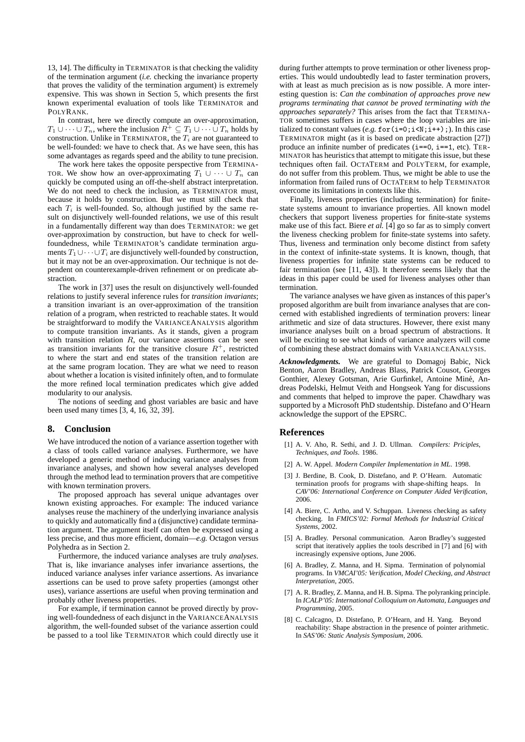13, 14]. The difficulty in TERMINATOR is that checking the validity of the termination argument (*i.e.* checking the invariance property that proves the validity of the termination argument) is extremely expensive. This was shown in Section 5, which presents the first known experimental evaluation of tools like TERMINATOR and POLYRANK.

In contrast, here we directly compute an over-approximation,  $T_1 \cup \cdots \cup T_n$ , where the inclusion  $R^+ \subseteq T_1 \cup \cdots \cup T_n$  holds by construction. Unlike in TERMINATOR, the  $T_i$  are not guaranteed to be well-founded: we have to check that. As we have seen, this has some advantages as regards speed and the ability to tune precision.

The work here takes the opposite perspective from TERMINA-TOR. We show how an over-approximating  $T_1 \cup \cdots \cup T_n$  can quickly be computed using an off-the-shelf abstract interpretation. We do not need to check the inclusion, as TERMINATOR must, because it holds by construction. But we must still check that each  $T_i$  is well-founded. So, although justified by the same result on disjunctively well-founded relations, we use of this result in a fundamentally different way than does TERMINATOR: we get over-approximation by construction, but have to check for wellfoundedness, while TERMINATOR's candidate termination arguments  $T_1 \cup \cdots \cup T_i$  are disjunctively well-founded by construction, but it may not be an over-approximation. Our technique is not dependent on counterexample-driven refinement or on predicate abstraction.

The work in [37] uses the result on disjunctively well-founded relations to justify several inference rules for *transition invariants*; a transition invariant is an over-approximation of the transition relation of a program, when restricted to reachable states. It would be straightforward to modify the VARIANCEANALYSIS algorithm to compute transition invariants. As it stands, given a program with transition relation  $R$ , our variance assertions can be seen as transition invariants for the transitive closure  $R^+$ , restricted to where the start and end states of the transition relation are at the same program location. They are what we need to reason about whether a location is visited infinitely often, and to formulate the more refined local termination predicates which give added modularity to our analysis.

The notions of seeding and ghost variables are basic and have been used many times [3, 4, 16, 32, 39].

#### **8. Conclusion**

We have introduced the notion of a variance assertion together with a class of tools called variance analyses. Furthermore, we have developed a generic method of inducing variance analyses from invariance analyses, and shown how several analyses developed through the method lead to termination provers that are competitive with known termination provers.

The proposed approach has several unique advantages over known existing approaches. For example: The induced variance analyses reuse the machinery of the underlying invariance analysis to quickly and automatically find a (disjunctive) candidate termination argument. The argument itself can often be expressed using a less precise, and thus more efficient, domain—*e.g.* Octagon versus Polyhedra as in Section 2.

Furthermore, the induced variance analyses are truly *analyses*. That is, like invariance analyses infer invariance assertions, the induced variance analyses infer variance assertions. As invariance assertions can be used to prove safety properties (amongst other uses), variance assertions are useful when proving termination and probably other liveness properties.

For example, if termination cannot be proved directly by proving well-foundedness of each disjunct in the VARIANCEANALYSIS algorithm, the well-founded subset of the variance assertion could be passed to a tool like TERMINATOR which could directly use it

during further attempts to prove termination or other liveness properties. This would undoubtedly lead to faster termination provers, with at least as much precision as is now possible. A more interesting question is: *Can the combination of approaches prove new programs terminating that cannot be proved terminating with the approaches separately?* This arises from the fact that TERMINA-TOR sometimes suffers in cases where the loop variables are initialized to constant values (*e.g.* for  $(i=0; i \le N; i++)$ ;). In this case TERMINATOR might (as it is based on predicate abstraction [27]) produce an infinite number of predicates (i==0, i==1, etc). TER-MINATOR has heuristics that attempt to mitigate this issue, but these techniques often fail. OCTATERM and POLYTERM, for example, do not suffer from this problem. Thus, we might be able to use the information from failed runs of OCTATERM to help TERMINATOR overcome its limitations in contexts like this.

Finally, liveness properties (including termination) for finitestate systems amount to invariance properties. All known model checkers that support liveness properties for finite-state systems make use of this fact. Biere *et al.* [4] go so far as to simply convert the liveness checking problem for finite-state systems into safety. Thus, liveness and termination only become distinct from safety in the context of infinite-state systems. It is known, though, that liveness properties for infinite state systems can be reduced to fair termination (see [11, 43]). It therefore seems likely that the ideas in this paper could be used for liveness analyses other than termination.

The variance analyses we have given as instances of this paper's proposed algorithm are built from invariance analyses that are concerned with established ingredients of termination provers: linear arithmetic and size of data structures. However, there exist many invariance analyses built on a broad spectrum of abstractions. It will be exciting to see what kinds of variance analyzers will come of combining these abstract domains with VARIANCEANALYSIS.

*Acknowledgments.* We are grateful to Domagoj Babic, Nick Benton, Aaron Bradley, Andreas Blass, Patrick Cousot, Georges Gonthier, Alexey Gotsman, Arie Gurfinkel, Antoine Mine, An- ´ dreas Podelski, Helmut Veith and Hongseok Yang for discussions and comments that helped to improve the paper. Chawdhary was supported by a Microsoft PhD studentship. Distefano and O'Hearn acknowledge the support of the EPSRC.

#### **References**

- [1] A. V. Aho, R. Sethi, and J. D. Ullman. *Compilers: Priciples, Techniques, and Tools*. 1986.
- [2] A. W. Appel. *Modern Compiler Implementation in ML*. 1998.
- [3] J. Berdine, B. Cook, D. Distefano, and P. O'Hearn. Automatic termination proofs for programs with shape-shifting heaps. In *CAV'06: International Conference on Computer Aided Verification*, 2006.
- [4] A. Biere, C. Artho, and V. Schuppan. Liveness checking as safety checking. In *FMICS'02: Formal Methods for Industrial Critical Systems*, 2002.
- [5] A. Bradley. Personal communication. Aaron Bradley's suggested script that iteratively applies the tools described in [7] and [6] with increasingly expensive options, June 2006.
- [6] A. Bradley, Z. Manna, and H. Sipma. Termination of polynomial programs. In *VMCAI'05: Verification, Model Checking, and Abstract Interpretation*, 2005.
- [7] A. R. Bradley, Z. Manna, and H. B. Sipma. The polyranking principle. In *ICALP'05: International Colloquium on Automata, Languages and Programming*, 2005.
- [8] C. Calcagno, D. Distefano, P. O'Hearn, and H. Yang. Beyond reachability: Shape abstraction in the presence of pointer arithmetic. In *SAS'06: Static Analysis Symposium*, 2006.